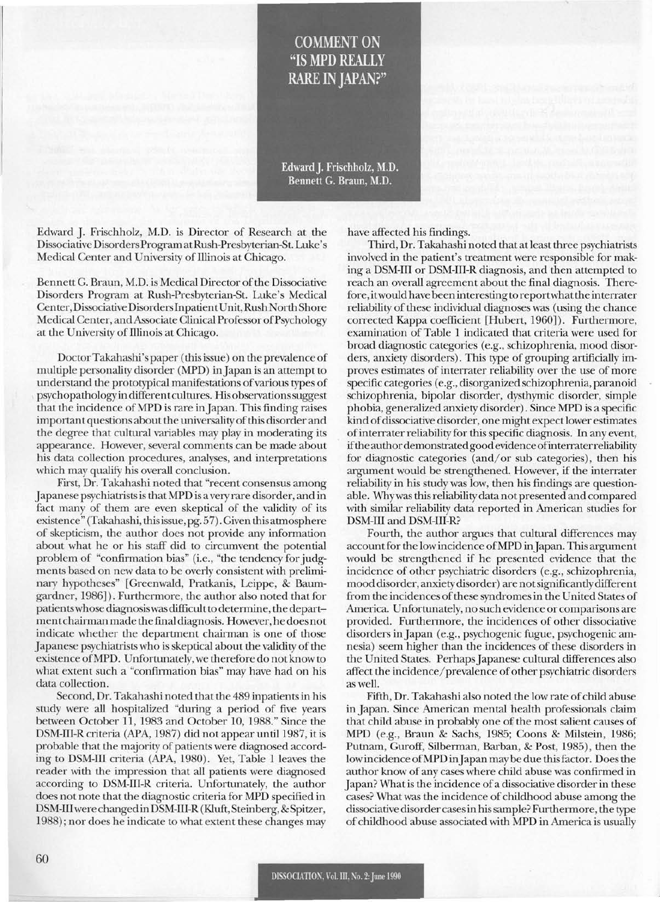## **COMMENT ON** "IS MPD REALLY **RARE IN JAPAN?"**

Edward J. Frischholz, M.D. Bennett G. Braun, M.D.

Edward J. Frischholz, M.D. is Director of Research at the Dissociative DisordersProgram atRush-Presbyterian-St. Luke's Medical Center and University of Illinois at Chicago.

Bennett G. Braun, M.D. is Medical Director of the Dissociative Disorders Program at Rush-Presbyterian-St. Luke's Medical Center, Dissociative Disorders Inpatient Unit, Rush North Shore Medical Center, and Associate Clinical Professor of Psychology at the University of Illinois at Chicago.

DoctorTakahashi's paper (thisissue) on the prevalence of multiple personality disorder (MPD) inJapan is an attempt to understand the prototypical manifestations of various types of psychopathologyin different cultures. His observationssuggest that the incidence ofMPD is rare inJapan. This finding raises important questions about the universality of this disorder and the degree that cultural variables may play in moderating its appearance. However, several comments can be made about his data collection procedures, analyses, and interpretations which may qualify his overall conclusion.

First, Dr. Takahashi noted that "recent consensus among Japanese psychiatristsis that MPD is a very rare disorder, and in fact many of them are even skeptical of the validity of its existence" (Takahashi, thisissue, pg. 57). Given this atmosphere of skepticism, the author does not provide any information about what he or his staff did to circumvent the potential problem of "confirmation bias" (i.e., "the tendency for judgments based on new data to be overly consistent with preliminary hypotheses" [Greenwald, Pratkanis, Leippe, & Baumgardner, 1986]). Furthermore, the author also noted that for patientswhose diagnosiswas difficult to determine, the department chairman made the final diagnosis. However, he does not indicate whether the department chairman is one of those Japanese psychiatrists who is skeptical about the validity of the existence ofMPD. Unfortunately, we therefore do not know to what extent such a "confirmation bias" may have had on his data collection.

Second, Dr. Takahashi noted that the 489 inpatientsin his study were all hospitalized "during a period of five years between October 11, 1983 and October 10, 1988." Since the DSM-III-R criteria (APA, 1987) did not appear until 1987, it is probable that the majority of patients were diagnosed according to DSM-III criteria (APA, 1980). Yet, Table 1 leaves the reader with the impression that all patients were diagnosed according to DSM-III-R criteria. Unfortunately, the author does not note that the diagnostic criteria for MPD specified in DSM-IIIwere changed in DSM-III-R (Kluft, Steinberg,& Spitzer, 1988); nor does he indicate to what extent these changes may

have affected his findings.

Third, Dr. Takahashi noted that at least three psychiatrists involved in the patient's treatment were responsible for making a DSM-III or DSM-III-R diagnosis, and then attempted to reach an overall agreement about the final diagnosis. Therefore, itwould have been interesting to reportwhatthe interrater reliability of these individual diagnoses was (using the chance corrected Kappa coefficient [Hubert, 1960]). Furthermore, examination of Table 1 indicated that criteria were used for broad diagnostic categories (e.g., schizophrenia, mood disorders, anxiety disorders). This type of grouping artificially improves estimates of interrater reliability over the use of more specific categories (e.g., disorganized schizophrenia, paranoid schizophrenia, bipolar disorder, dysthymic disorder, simple phobia, generalized anxiety disorder). Since MPD is a specific kind of dissociative disorder, one might expect lower estimates ofinterrater reliability for this specific diagnosis. In any event, ifthe authordemonstratedgood evidence ofinterraterreliability for diagnostic categories (and/or sub categories), then his argument would be strengthened. However, if the interrater reliability in his study was low, then his findings are questionable. Whywas thisreliability data not presented and compared with similar reliability data reported in American studies for DSM-III and DSM-III-R?

Fourth, the author argues that cultural differences may accountfor the low incidence ofMPD inJapan. This argument would be strengthened if he presented evidence that the incidence of other psychiatric disorders (e.g., schizophrenia, mood disorder, anxiety disorder) are notsignificantly different from the incidences of these syndromes in the United States of America. Unfortunately, no such evidence or comparisons are provided. Furthermore, the incidences of other dissociative disorders inJapan (e.g., psychogenic fugue, psychogenic amnesia) seem higher than the incidences of these disorders in the United States. Perhaps Japanese cultural differences also affect the incidence/prevalence of other psychiatric disorders as well.

Fifth, Dr. Takahashi also noted the low rate of child abuse in Japan. Since American mental health professionals claim that child abuse in probably one of the most salient causes of MPD (e.g., Braun & Sachs, 1985; Coons & Milstein, 1986; Putnam, Guroff, Silberman, Barban, & Post, 1985), then the low incidence of MPD in Japan may be due this factor. Does the author know of any cases where child abuse was confirmed in Japan? What is the incidence of a dissociative disorder in these cases? What was the incidence of childhood abuse among the dissociative disorder casesin hissample? Furthermore, the type of childhood abuse associated with MPD in America is usually